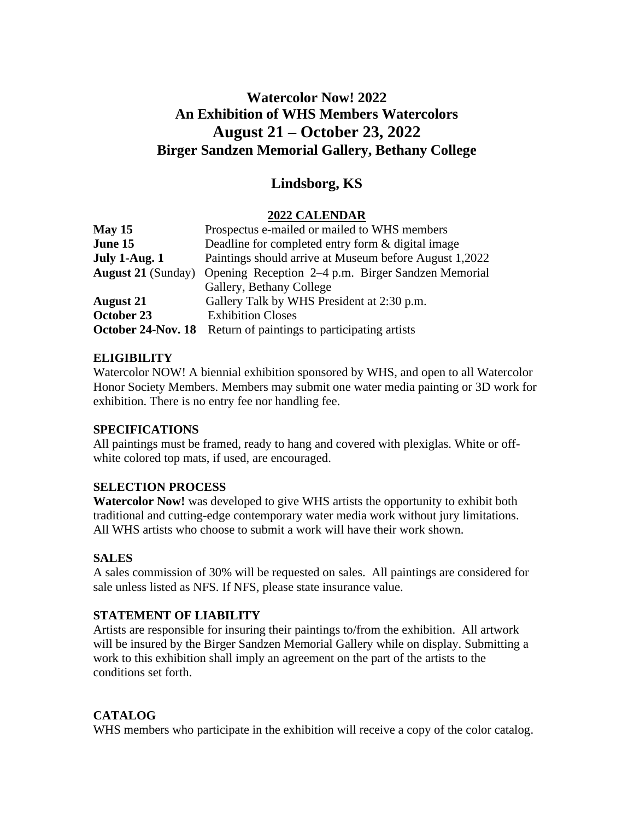# **Watercolor Now! 2022 An Exhibition of WHS Members Watercolors August 21 – October 23, 2022 Birger Sandzen Memorial Gallery, Bethany College**

## **Lindsborg, KS**

### **2022 CALENDAR**

| May 15                    | Prospectus e-mailed or mailed to WHS members           |
|---------------------------|--------------------------------------------------------|
| June 15                   | Deadline for completed entry form & digital image      |
| July 1-Aug. 1             | Paintings should arrive at Museum before August 1,2022 |
| <b>August 21 (Sunday)</b> | Opening Reception 2–4 p.m. Birger Sandzen Memorial     |
|                           | Gallery, Bethany College                               |
| <b>August 21</b>          | Gallery Talk by WHS President at 2:30 p.m.             |
| October 23                | <b>Exhibition Closes</b>                               |
| October 24-Nov. 18        | Return of paintings to participating artists           |

### **ELIGIBILITY**

Watercolor NOW! A biennial exhibition sponsored by WHS, and open to all Watercolor Honor Society Members. Members may submit one water media painting or 3D work for exhibition. There is no entry fee nor handling fee.

#### **SPECIFICATIONS**

All paintings must be framed, ready to hang and covered with plexiglas. White or offwhite colored top mats, if used, are encouraged.

#### **SELECTION PROCESS**

**Watercolor Now!** was developed to give WHS artists the opportunity to exhibit both traditional and cutting-edge contemporary water media work without jury limitations. All WHS artists who choose to submit a work will have their work shown.

#### **SALES**

A sales commission of 30% will be requested on sales. All paintings are considered for sale unless listed as NFS. If NFS, please state insurance value.

#### **STATEMENT OF LIABILITY**

Artists are responsible for insuring their paintings to/from the exhibition. All artwork will be insured by the Birger Sandzen Memorial Gallery while on display. Submitting a work to this exhibition shall imply an agreement on the part of the artists to the conditions set forth.

#### **CATALOG**

WHS members who participate in the exhibition will receive a copy of the color catalog.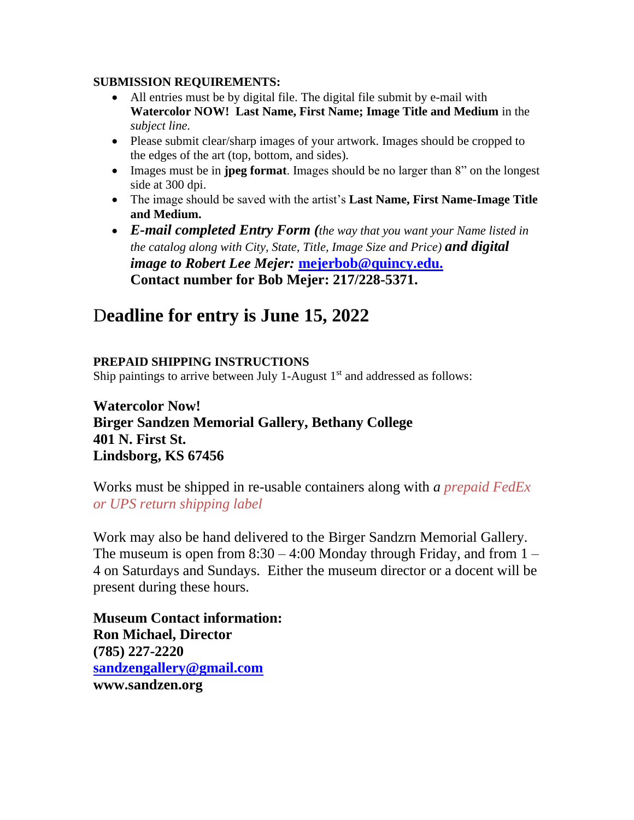### **SUBMISSION REQUIREMENTS:**

- All entries must be by digital file. The digital file submit by e-mail with **Watercolor NOW! Last Name, First Name; Image Title and Medium** in the *subject line.*
- Please submit clear/sharp images of your artwork. Images should be cropped to the edges of the art (top, bottom, and sides).
- Images must be in **jpeg format**. Images should be no larger than 8" on the longest side at 300 dpi.
- The image should be saved with the artist's **Last Name, First Name-Image Title and Medium.**
- *E-mail completed Entry Form (the way that you want your Name listed in the catalog along with City, State, Title, Image Size and Price) and digital image to Robert Lee Mejer:* **[mejerbob@quincy.edu.](mailto:mejerbob@quincy.edu) Contact number for Bob Mejer: 217/228-5371.**

# D**eadline for entry is June 15, 2022**

## **PREPAID SHIPPING INSTRUCTIONS**

Ship paintings to arrive between July 1-August  $1<sup>st</sup>$  and addressed as follows:

## **Watercolor Now! Birger Sandzen Memorial Gallery, Bethany College 401 N. First St. Lindsborg, KS 67456**

Works must be shipped in re-usable containers along with *a prepaid FedEx or UPS return shipping label* 

Work may also be hand delivered to the Birger Sandzrn Memorial Gallery. The museum is open from  $8:30 - 4:00$  Monday through Friday, and from  $1 -$ 4 on Saturdays and Sundays. Either the museum director or a docent will be present during these hours.

**Museum Contact information: Ron Michael, Director (785) 227-2220 [sandzengallery@gmail.com](mailto:sandzengallery@gmail.com) www.sandzen.org**